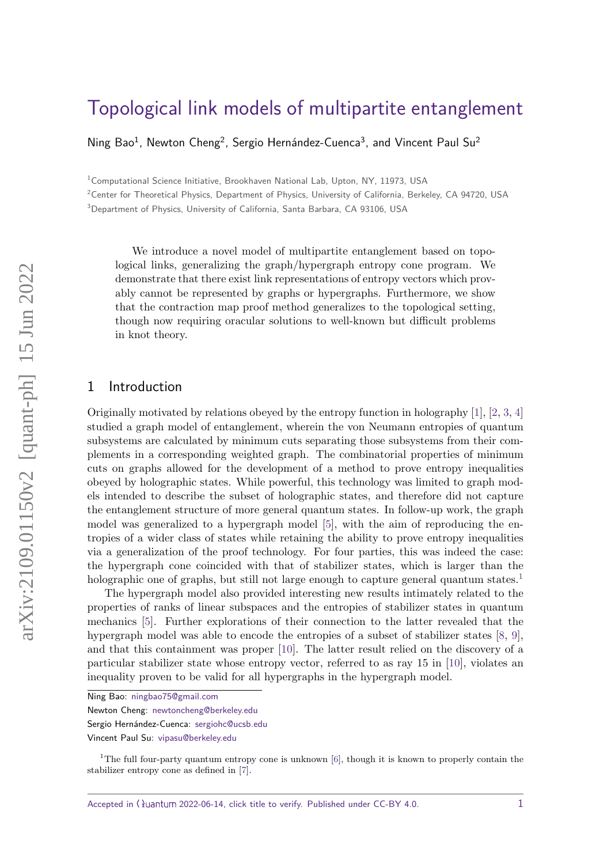# [Topological link models of multipartite entanglement](https://quantum-journal.org/?s=Topological%20link%20models%20of%20multipartite%20entanglement&reason=title-click)

Ning Bao<sup>1</sup>, Newton Cheng<sup>2</sup>, Sergio Hernández-Cuenca<sup>3</sup>, and Vincent Paul Su<sup>2</sup>

<sup>1</sup>Computational Science Initiative, Brookhaven National Lab, Upton, NY, 11973, USA

<sup>2</sup>Center for Theoretical Physics, Department of Physics, University of California, Berkeley, CA 94720, USA <sup>3</sup>Department of Physics, University of California, Santa Barbara, CA 93106, USA

We introduce a novel model of multipartite entanglement based on topological links, generalizing the graph/hypergraph entropy cone program. We demonstrate that there exist link representations of entropy vectors which provably cannot be represented by graphs or hypergraphs. Furthermore, we show that the contraction map proof method generalizes to the topological setting, though now requiring oracular solutions to well-known but difficult problems in knot theory.

# 1 Introduction

Originally motivated by relations obeyed by the entropy function in holography [\[1\]](#page-17-0), [\[2,](#page-17-1) [3,](#page-17-2) [4\]](#page-17-3) studied a graph model of entanglement, wherein the von Neumann entropies of quantum subsystems are calculated by minimum cuts separating those subsystems from their complements in a corresponding weighted graph. The combinatorial properties of minimum cuts on graphs allowed for the development of a method to prove entropy inequalities obeyed by holographic states. While powerful, this technology was limited to graph models intended to describe the subset of holographic states, and therefore did not capture the entanglement structure of more general quantum states. In follow-up work, the graph model was generalized to a hypergraph model [\[5\]](#page-17-4), with the aim of reproducing the entropies of a wider class of states while retaining the ability to prove entropy inequalities via a generalization of the proof technology. For four parties, this was indeed the case: the hypergraph cone coincided with that of stabilizer states, which is larger than the holographic one of graphs, but still not large enough to capture general quantum states.<sup>[1](#page-0-0)</sup>

The hypergraph model also provided interesting new results intimately related to the properties of ranks of linear subspaces and the entropies of stabilizer states in quantum mechanics [\[5\]](#page-17-4). Further explorations of their connection to the latter revealed that the hypergraph model was able to encode the entropies of a subset of stabilizer states [\[8,](#page-17-5) [9\]](#page-17-6), and that this containment was proper [\[10\]](#page-17-7). The latter result relied on the discovery of a particular stabilizer state whose entropy vector, referred to as ray 15 in [\[10\]](#page-17-7), violates an inequality proven to be valid for all hypergraphs in the hypergraph model.

Accepted in  $\langle \rangle$ uantum 2022-06-14, click title to verify. Published under CC-BY 4.0.  $1$ 

Ning Bao: [ningbao75@gmail.com](mailto:ningbao75@gmail.com)

Newton Cheng: [newtoncheng@berkeley.edu](mailto:newtoncheng@berkeley.edu)

Sergio Hernández-Cuenca: [sergiohc@ucsb.edu](mailto:sergiohc@ucsb.edu)

Vincent Paul Su: [vipasu@berkeley.edu](mailto:vipasu@berkeley.edu)

<span id="page-0-0"></span><sup>&</sup>lt;sup>1</sup>The full four-party quantum entropy cone is unknown [\[6\]](#page-17-8), though it is known to properly contain the stabilizer entropy cone as defined in [\[7\]](#page-17-9).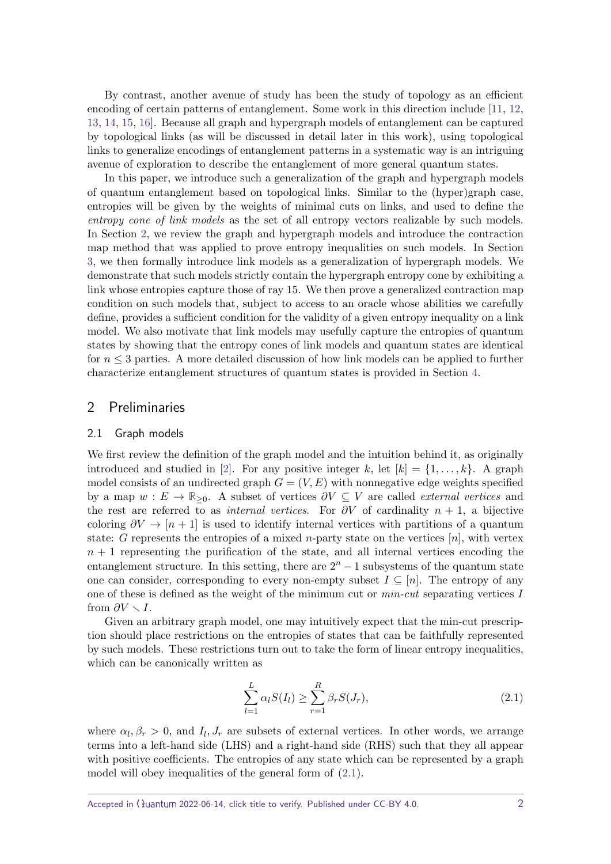By contrast, another avenue of study has been the study of topology as an efficient encoding of certain patterns of entanglement. Some work in this direction include [\[11,](#page-17-10) [12,](#page-17-11) [13,](#page-17-12) [14,](#page-17-13) [15,](#page-18-0) [16\]](#page-18-1). Because all graph and hypergraph models of entanglement can be captured by topological links (as will be discussed in detail later in this work), using topological links to generalize encodings of entanglement patterns in a systematic way is an intriguing avenue of exploration to describe the entanglement of more general quantum states.

In this paper, we introduce such a generalization of the graph and hypergraph models of quantum entanglement based on topological links. Similar to the (hyper)graph case, entropies will be given by the weights of minimal cuts on links, and used to define the entropy cone of link models as the set of all entropy vectors realizable by such models. In Section [2,](#page-1-0) we review the graph and hypergraph models and introduce the contraction map method that was applied to prove entropy inequalities on such models. In Section [3,](#page-3-0) we then formally introduce link models as a generalization of hypergraph models. We demonstrate that such models strictly contain the hypergraph entropy cone by exhibiting a link whose entropies capture those of ray 15. We then prove a generalized contraction map condition on such models that, subject to access to an oracle whose abilities we carefully define, provides a sufficient condition for the validity of a given entropy inequality on a link model. We also motivate that link models may usefully capture the entropies of quantum states by showing that the entropy cones of link models and quantum states are identical for  $n \leq 3$  parties. A more detailed discussion of how link models can be applied to further characterize entanglement structures of quantum states is provided in Section [4.](#page-14-0)

## <span id="page-1-0"></span>2 Preliminaries

#### 2.1 Graph models

We first review the definition of the graph model and the intuition behind it, as originally introduced and studied in [\[2\]](#page-17-1). For any positive integer k, let  $[k] = \{1, \ldots, k\}$ . A graph model consists of an undirected graph  $G = (V, E)$  with nonnegative edge weights specified by a map  $w : E \to \mathbb{R}_{\geq 0}$ . A subset of vertices  $\partial V \subseteq V$  are called *external vertices* and the rest are referred to as *internal vertices*. For  $\partial V$  of cardinality  $n + 1$ , a bijective coloring  $\partial V \to [n+1]$  is used to identify internal vertices with partitions of a quantum state: *G* represents the entropies of a mixed *n*-party state on the vertices [*n*], with vertex  $n+1$  representing the purification of the state, and all internal vertices encoding the entanglement structure. In this setting, there are  $2<sup>n</sup> - 1$  subsystems of the quantum state one can consider, corresponding to every non-empty subset  $I \subseteq [n]$ . The entropy of any one of these is defined as the weight of the minimum cut or min-cut separating vertices *I* from  $\partial V \setminus I$ .

Given an arbitrary graph model, one may intuitively expect that the min-cut prescription should place restrictions on the entropies of states that can be faithfully represented by such models. These restrictions turn out to take the form of linear entropy inequalities, which can be canonically written as

<span id="page-1-1"></span>
$$
\sum_{l=1}^{L} \alpha_l S(I_l) \ge \sum_{r=1}^{R} \beta_r S(J_r),
$$
\n(2.1)

where  $\alpha_l, \beta_r > 0$ , and  $I_l, J_r$  are subsets of external vertices. In other words, we arrange terms into a left-hand side (LHS) and a right-hand side (RHS) such that they all appear with positive coefficients. The entropies of any state which can be represented by a graph model will obey inequalities of the general form of [\(2.1\)](#page-1-1).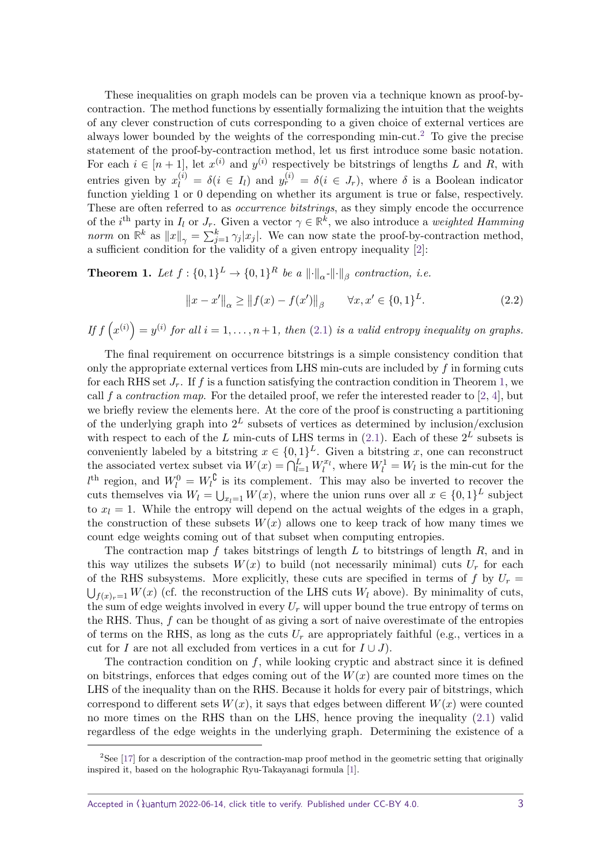These inequalities on graph models can be proven via a technique known as proof-bycontraction. The method functions by essentially formalizing the intuition that the weights of any clever construction of cuts corresponding to a given choice of external vertices are always lower bounded by the weights of the corresponding min-cut.<sup>[2](#page-2-0)</sup> To give the precise statement of the proof-by-contraction method, let us first introduce some basic notation. For each  $i \in [n+1]$ , let  $x^{(i)}$  and  $y^{(i)}$  respectively be bitstrings of lengths *L* and *R*, with entries given by  $x_l^{(i)} = \delta(i \in I_l)$  and  $y_r^{(i)} = \delta(i \in J_r)$ , where  $\delta$  is a Boolean indicator function yielding 1 or 0 depending on whether its argument is true or false, respectively. These are often referred to as *occurrence bitstrings*, as they simply encode the occurrence of the *i*<sup>th</sup> party in *I*<sub>*l*</sub> or *J<sub>r</sub>*. Given a vector  $\gamma \in \mathbb{R}^k$ , we also introduce a *weighted Hamming norm* on  $\mathbb{R}^k$  as  $||x||_{\gamma} = \sum_{j=1}^k \gamma_j |x_j|$ . We can now state the proof-by-contraction method, a sufficient condition for the validity of a given entropy inequality [\[2\]](#page-17-1):

<span id="page-2-1"></span>**Theorem 1.** *Let*  $f : \{0,1\}^L \to \{0,1\}^R$  *be a*  $\lVert \cdot \rVert_{\alpha} \cdot \lVert \cdot \rVert_{\beta}$  contraction, i.e.

$$
||x - x'||_{\alpha} \ge ||f(x) - f(x')||_{\beta} \qquad \forall x, x' \in \{0, 1\}^{L}.
$$
 (2.2)

*If*  $f(x^{(i)}) = y^{(i)}$  *for all*  $i = 1, \ldots, n+1$ , *then* [\(2.1\)](#page-1-1) *is a valid entropy inequality on graphs.* 

The final requirement on occurrence bitstrings is a simple consistency condition that only the appropriate external vertices from LHS min-cuts are included by *f* in forming cuts for each RHS set  $J_r$ . If f is a function satisfying the contraction condition in Theorem [1,](#page-2-1) we call  $f$  a *contraction map*. For the detailed proof, we refer the interested reader to  $[2, 4]$  $[2, 4]$  $[2, 4]$ , but we briefly review the elements here. At the core of the proof is constructing a partitioning of the underlying graph into 2 *<sup>L</sup>* subsets of vertices as determined by inclusion/exclusion with respect to each of the *L* min-cuts of LHS terms in  $(2.1)$ . Each of these  $2^L$  subsets is conveniently labeled by a bitstring  $x \in \{0,1\}^L$ . Given a bitstring x, one can reconstruct the associated vertex subset via  $W(x) = \bigcap_{l=1}^{L} W_l^{x_l}$ , where  $W_l^1 = W_l$  is the min-cut for the  $l^{\text{th}}$  region, and  $W_l^0 = W_l^0$  is its complement. This may also be inverted to recover the cuts themselves via  $W_l = \bigcup_{x_l=1} W(x)$ , where the union runs over all  $x \in \{0,1\}^L$  subject to  $x_l = 1$ . While the entropy will depend on the actual weights of the edges in a graph, the construction of these subsets  $W(x)$  allows one to keep track of how many times we count edge weights coming out of that subset when computing entropies.

The contraction map *f* takes bitstrings of length *L* to bitstrings of length *R*, and in this way utilizes the subsets  $W(x)$  to build (not necessarily minimal) cuts  $U_r$  for each of the RHS subsystems. More explicitly, these cuts are specified in terms of  $f$  by  $U_r =$  $\bigcup_{f(x)=1} W(x)$  (cf. the reconstruction of the LHS cuts  $W_l$  above). By minimality of cuts, the sum of edge weights involved in every  $U_r$  will upper bound the true entropy of terms on the RHS. Thus, *f* can be thought of as giving a sort of naive overestimate of the entropies of terms on the RHS, as long as the cuts  $U_r$  are appropriately faithful (e.g., vertices in a cut for *I* are not all excluded from vertices in a cut for  $I \cup J$ .

The contraction condition on *f*, while looking cryptic and abstract since it is defined on bitstrings, enforces that edges coming out of the  $W(x)$  are counted more times on the LHS of the inequality than on the RHS. Because it holds for every pair of bitstrings, which correspond to different sets  $W(x)$ , it says that edges between different  $W(x)$  were counted no more times on the RHS than on the LHS, hence proving the inequality [\(2.1\)](#page-1-1) valid regardless of the edge weights in the underlying graph. Determining the existence of a

<span id="page-2-0"></span> ${}^{2}$ See [\[17\]](#page-18-2) for a description of the contraction-map proof method in the geometric setting that originally inspired it, based on the holographic Ryu-Takayanagi formula [\[1\]](#page-17-0).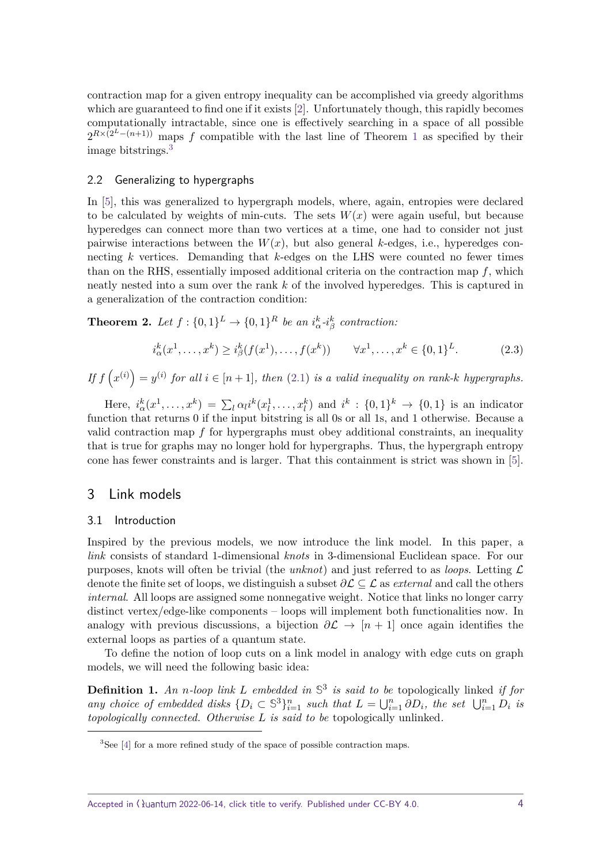contraction map for a given entropy inequality can be accomplished via greedy algorithms which are guaranteed to find one if it exists [\[2\]](#page-17-1). Unfortunately though, this rapidly becomes computationally intractable, since one is effectively searching in a space of all possible  $2^{R\times(2^L-(n+1))}$  $2^{R\times(2^L-(n+1))}$  $2^{R\times(2^L-(n+1))}$  maps f compatible with the last line of Theorem 1 as specified by their image bitstrings.[3](#page-3-1)

### 2.2 Generalizing to hypergraphs

In [\[5\]](#page-17-4), this was generalized to hypergraph models, where, again, entropies were declared to be calculated by weights of min-cuts. The sets  $W(x)$  were again useful, but because hyperedges can connect more than two vertices at a time, one had to consider not just pairwise interactions between the  $W(x)$ , but also general *k*-edges, i.e., hyperedges connecting *k* vertices. Demanding that *k*-edges on the LHS were counted no fewer times than on the RHS, essentially imposed additional criteria on the contraction map *f*, which neatly nested into a sum over the rank *k* of the involved hyperedges. This is captured in a generalization of the contraction condition:

**Theorem 2.** Let  $f: \{0,1\}^L \to \{0,1\}^R$  be an  $i^k_{\alpha} \text{-} i^k_{\beta}$  contraction:

$$
i_{\alpha}^{k}(x^{1},...,x^{k}) \geq i_{\beta}^{k}(f(x^{1}),...,f(x^{k})) \qquad \forall x^{1},...,x^{k} \in \{0,1\}^{L}.
$$
 (2.3)

*If*  $f(x^{(i)}) = y^{(i)}$  *for all*  $i \in [n+1]$ *, then* [\(2.1\)](#page-1-1) *is a valid inequality on rank-k hypergraphs.* 

Here,  $i_{\alpha}^k(x^1,\ldots,x^k) = \sum_l \alpha_l i^k(x_l^1,\ldots,x_l^k)$  and  $i^k : \{0,1\}^k \to \{0,1\}$  is an indicator function that returns 0 if the input bitstring is all 0s or all 1s, and 1 otherwise. Because a valid contraction map *f* for hypergraphs must obey additional constraints, an inequality that is true for graphs may no longer hold for hypergraphs. Thus, the hypergraph entropy cone has fewer constraints and is larger. That this containment is strict was shown in [\[5\]](#page-17-4).

## <span id="page-3-0"></span>3 Link models

#### 3.1 Introduction

Inspired by the previous models, we now introduce the link model. In this paper, a link consists of standard 1-dimensional knots in 3-dimensional Euclidean space. For our purposes, knots will often be trivial (the unknot) and just referred to as loops. Letting  $\mathcal L$ denote the finite set of loops, we distinguish a subset  $\partial \mathcal{L} \subseteq \mathcal{L}$  as *external* and call the others internal. All loops are assigned some nonnegative weight. Notice that links no longer carry distinct vertex/edge-like components – loops will implement both functionalities now. In analogy with previous discussions, a bijection  $\partial \mathcal{L} \to [n+1]$  once again identifies the external loops as parties of a quantum state.

To define the notion of loop cuts on a link model in analogy with edge cuts on graph models, we will need the following basic idea:

**Definition 1.** *An n-loop link L embedded in* **S** 3 *is said to be* topologically linked *if for any choice of embedded disks*  $\{D_i \subset \mathbb{S}^3\}_{i=1}^n$  *such that*  $L = \bigcup_{i=1}^n \partial D_i$ *, the set*  $\bigcup_{i=1}^n D_i$  *is topologically connected. Otherwise L is said to be* topologically unlinked*.*

<span id="page-3-1"></span><sup>&</sup>lt;sup>3</sup>See [\[4\]](#page-17-3) for a more refined study of the space of possible contraction maps.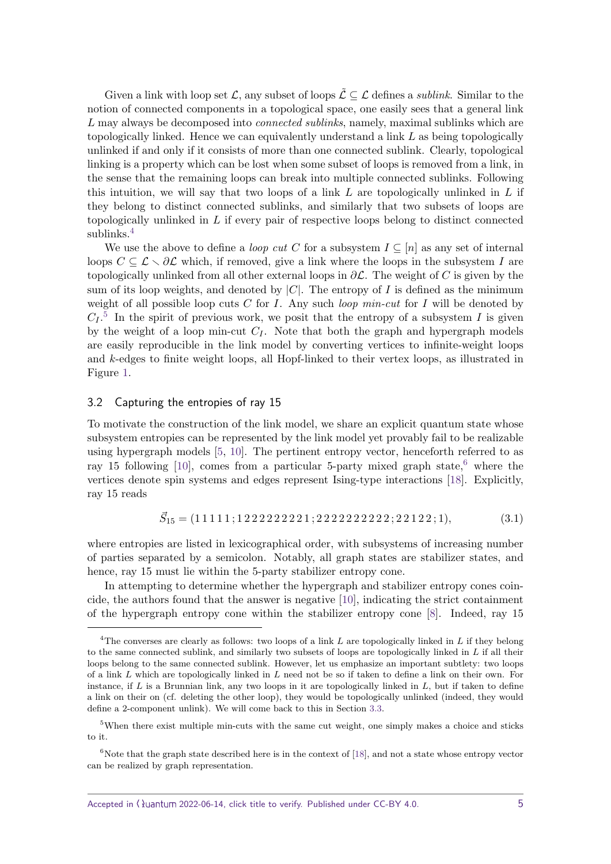Given a link with loop set  $\mathcal{L}$ , any subset of loops  $\tilde{\mathcal{L}} \subseteq \mathcal{L}$  defines a *sublink*. Similar to the notion of connected components in a topological space, one easily sees that a general link L may always be decomposed into *connected sublinks*, namely, maximal sublinks which are topologically linked. Hence we can equivalently understand a link *L* as being topologically unlinked if and only if it consists of more than one connected sublink. Clearly, topological linking is a property which can be lost when some subset of loops is removed from a link, in the sense that the remaining loops can break into multiple connected sublinks. Following this intuition, we will say that two loops of a link *L* are topologically unlinked in *L* if they belong to distinct connected sublinks, and similarly that two subsets of loops are topologically unlinked in *L* if every pair of respective loops belong to distinct connected sublinks.<sup>[4](#page-4-0)</sup>

We use the above to define a *loop cut* C for a subsystem  $I \subseteq [n]$  as any set of internal loops  $C \subseteq \mathcal{L} \setminus \partial \mathcal{L}$  which, if removed, give a link where the loops in the subsystem *I* are topologically unlinked from all other external loops in *∂*L. The weight of *C* is given by the sum of its loop weights, and denoted by  $|C|$ . The entropy of *I* is defined as the minimum weight of all possible loop cuts *C* for *I*. Any such loop min-cut for *I* will be denoted by  $C_I$ <sup>[5](#page-4-1)</sup> In the spirit of previous work, we posit that the entropy of a subsystem *I* is given by the weight of a loop min-cut  $C_I$ . Note that both the graph and hypergraph models are easily reproducible in the link model by converting vertices to infinite-weight loops and *k*-edges to finite weight loops, all Hopf-linked to their vertex loops, as illustrated in Figure [1.](#page-5-0)

#### 3.2 Capturing the entropies of ray 15

To motivate the construction of the link model, we share an explicit quantum state whose subsystem entropies can be represented by the link model yet provably fail to be realizable using hypergraph models [\[5,](#page-17-4) [10\]](#page-17-7). The pertinent entropy vector, henceforth referred to as ray 15 following [\[10\]](#page-17-7), comes from a particular 5-party mixed graph state,<sup>[6](#page-4-2)</sup> where the vertices denote spin systems and edges represent Ising-type interactions [\[18\]](#page-18-3). Explicitly, ray 15 reads

$$
\vec{S}_{15} = (11111; 1222222221; 222222222222; 22122; 1), \tag{3.1}
$$

where entropies are listed in lexicographical order, with subsystems of increasing number of parties separated by a semicolon. Notably, all graph states are stabilizer states, and hence, ray 15 must lie within the 5-party stabilizer entropy cone.

In attempting to determine whether the hypergraph and stabilizer entropy cones coincide, the authors found that the answer is negative [\[10\]](#page-17-7), indicating the strict containment of the hypergraph entropy cone within the stabilizer entropy cone [\[8\]](#page-17-5). Indeed, ray 15

<span id="page-4-0"></span><sup>4</sup>The converses are clearly as follows: two loops of a link *L* are topologically linked in *L* if they belong to the same connected sublink, and similarly two subsets of loops are topologically linked in *L* if all their loops belong to the same connected sublink. However, let us emphasize an important subtlety: two loops of a link *L* which are topologically linked in *L* need not be so if taken to define a link on their own. For instance, if *L* is a Brunnian link, any two loops in it are topologically linked in *L*, but if taken to define a link on their on (cf. deleting the other loop), they would be topologically unlinked (indeed, they would define a 2-component unlink). We will come back to this in Section [3.3.](#page-6-0)

<span id="page-4-1"></span><sup>&</sup>lt;sup>5</sup>When there exist multiple min-cuts with the same cut weight, one simply makes a choice and sticks to it.

<span id="page-4-2"></span> $6$ Note that the graph state described here is in the context of [\[18\]](#page-18-3), and not a state whose entropy vector can be realized by graph representation.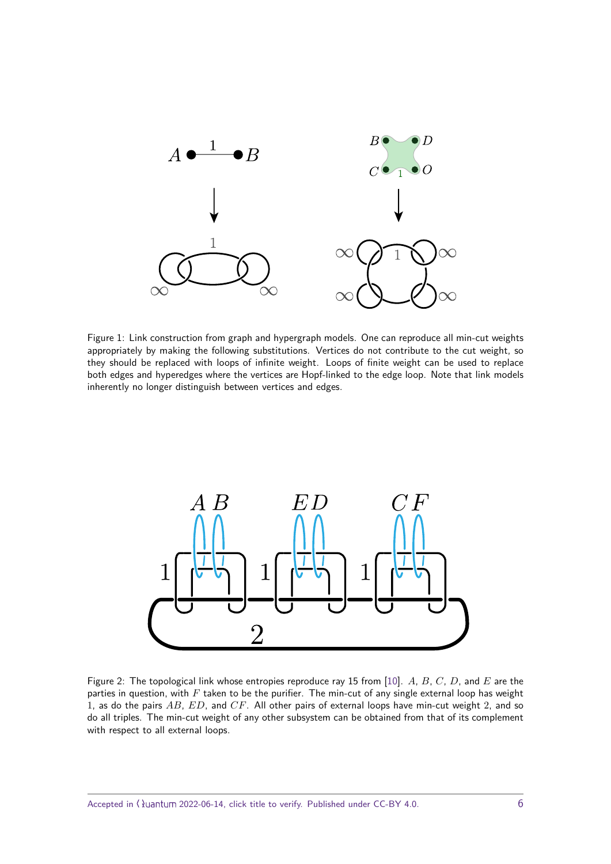<span id="page-5-0"></span>

Figure 1: Link construction from graph and hypergraph models. One can reproduce all min-cut weights appropriately by making the following substitutions. Vertices do not contribute to the cut weight, so they should be replaced with loops of infinite weight. Loops of finite weight can be used to replace both edges and hyperedges where the vertices are Hopf-linked to the edge loop. Note that link models inherently no longer distinguish between vertices and edges.

<span id="page-5-1"></span>

Figure 2: The topological link whose entropies reproduce ray 15 from [\[10\]](#page-17-7). *A*, *B*, *C*, *D*, and *E* are the parties in question, with *F* taken to be the purifier. The min-cut of any single external loop has weight 1, as do the pairs *AB*, *ED*, and *CF*. All other pairs of external loops have min-cut weight 2, and so do all triples. The min-cut weight of any other subsystem can be obtained from that of its complement with respect to all external loops.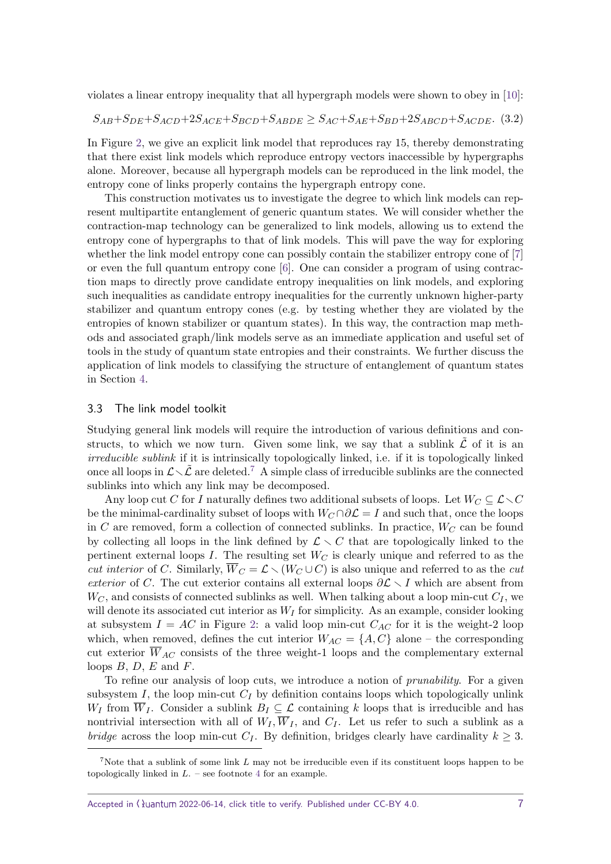violates a linear entropy inequality that all hypergraph models were shown to obey in [\[10\]](#page-17-7):

$$
S_{AB}+S_{DE}+S_{ACD}+2S_{ACE}+S_{BCD}+S_{ABDE} \geq S_{AC}+S_{AE}+S_{BD}+2S_{ABCD}+S_{ACDE}.
$$
 (3.2)

In Figure [2,](#page-5-1) we give an explicit link model that reproduces ray 15, thereby demonstrating that there exist link models which reproduce entropy vectors inaccessible by hypergraphs alone. Moreover, because all hypergraph models can be reproduced in the link model, the entropy cone of links properly contains the hypergraph entropy cone.

This construction motivates us to investigate the degree to which link models can represent multipartite entanglement of generic quantum states. We will consider whether the contraction-map technology can be generalized to link models, allowing us to extend the entropy cone of hypergraphs to that of link models. This will pave the way for exploring whether the link model entropy cone can possibly contain the stabilizer entropy cone of [\[7\]](#page-17-9) or even the full quantum entropy cone [\[6\]](#page-17-8). One can consider a program of using contraction maps to directly prove candidate entropy inequalities on link models, and exploring such inequalities as candidate entropy inequalities for the currently unknown higher-party stabilizer and quantum entropy cones (e.g. by testing whether they are violated by the entropies of known stabilizer or quantum states). In this way, the contraction map methods and associated graph/link models serve as an immediate application and useful set of tools in the study of quantum state entropies and their constraints. We further discuss the application of link models to classifying the structure of entanglement of quantum states in Section [4.](#page-14-0)

#### <span id="page-6-0"></span>3.3 The link model toolkit

Studying general link models will require the introduction of various definitions and constructs, to which we now turn. Given some link, we say that a sublink  $\tilde{\mathcal{L}}$  of it is an irreducible sublink if it is intrinsically topologically linked, i.e. if it is topologically linked once all loops in  $\mathcal{L}\setminus\mathcal{L}$  are deleted.<sup>[7](#page-6-1)</sup> A simple class of irreducible sublinks are the connected sublinks into which any link may be decomposed.

Any loop cut *C* for *I* naturally defines two additional subsets of loops. Let  $W_C \subseteq \mathcal{L} \setminus C$ be the minimal-cardinality subset of loops with  $W_C \cap \partial \mathcal{L} = I$  and such that, once the loops in *C* are removed, form a collection of connected sublinks. In practice,  $W_C$  can be found by collecting all loops in the link defined by  $\mathcal{L} \setminus C$  that are topologically linked to the pertinent external loops  $I$ . The resulting set  $W_C$  is clearly unique and referred to as the *cut interior* of *C*. Similarly,  $\overline{W}_C = \mathcal{L} \setminus (W_C \cup C)$  is also unique and referred to as the *cut* exterior of *C*. The cut exterior contains all external loops  $\partial \mathcal{L} \setminus I$  which are absent from  $W_C$ , and consists of connected sublinks as well. When talking about a loop min-cut  $C_I$ , we will denote its associated cut interior as  $W_I$  for simplicity. As an example, consider looking at subsystem  $I = AC$  in Figure [2:](#page-5-1) a valid loop min-cut  $C_{AC}$  for it is the weight-2 loop which, when removed, defines the cut interior  $W_{AC} = \{A, C\}$  alone – the corresponding cut exterior  $\overline{W}_{AC}$  consists of the three weight-1 loops and the complementary external loops *B*, *D*, *E* and *F*.

To refine our analysis of loop cuts, we introduce a notion of prunability. For a given subsystem *I*, the loop min-cut  $C_I$  by definition contains loops which topologically unlink *W<sub>I</sub>* from  $\overline{W}_I$ . Consider a sublink  $B_I \subseteq \mathcal{L}$  containing *k* loops that is irreducible and has nontrivial intersection with all of  $W_I$ ,  $\overline{W}_I$ , and  $C_I$ . Let us refer to such a sublink as a *bridge* across the loop min-cut  $C_I$ . By definition, bridges clearly have cardinality  $k \geq 3$ .

<span id="page-6-1"></span><sup>7</sup>Note that a sublink of some link *L* may not be irreducible even if its constituent loops happen to be topologically linked in  $L$ . – see footnote [4](#page-4-0) for an example.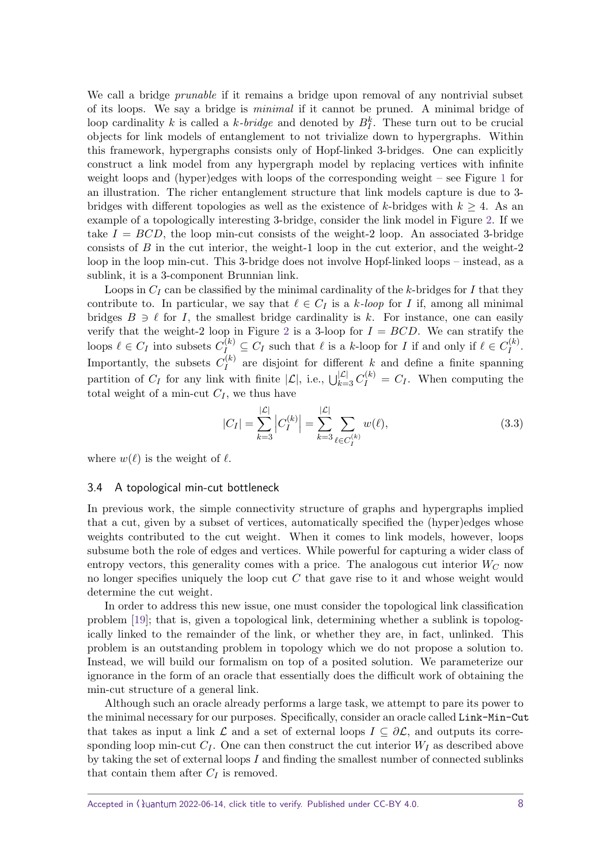We call a bridge *prunable* if it remains a bridge upon removal of any nontrivial subset of its loops. We say a bridge is minimal if it cannot be pruned. A minimal bridge of loop cardinality *k* is called a *k*-*bridge* and denoted by  $B_I^k$ . These turn out to be crucial objects for link models of entanglement to not trivialize down to hypergraphs. Within this framework, hypergraphs consists only of Hopf-linked 3-bridges. One can explicitly construct a link model from any hypergraph model by replacing vertices with infinite weight loops and (hyper)edges with loops of the corresponding weight – see Figure [1](#page-5-0) for an illustration. The richer entanglement structure that link models capture is due to 3 bridges with different topologies as well as the existence of *k*-bridges with  $k \geq 4$ . As an example of a topologically interesting 3-bridge, consider the link model in Figure [2.](#page-5-1) If we take  $I = BCD$ , the loop min-cut consists of the weight-2 loop. An associated 3-bridge consists of *B* in the cut interior, the weight-1 loop in the cut exterior, and the weight-2 loop in the loop min-cut. This 3-bridge does not involve Hopf-linked loops – instead, as a sublink, it is a 3-component Brunnian link.

Loops in  $C_I$  can be classified by the minimal cardinality of the *k*-bridges for *I* that they contribute to. In particular, we say that  $\ell \in C_I$  is a *k*-loop for *I* if, among all minimal bridges  $B \ni \ell$  for *I*, the smallest bridge cardinality is *k*. For instance, one can easily verify that the weight-[2](#page-5-1) loop in Figure 2 is a 3-loop for  $I = BCD$ . We can stratify the loops  $\ell \in C_I$  into subsets  $C_I^{(k)} \subseteq C_I$  such that  $\ell$  is a *k*-loop for *I* if and only if  $\ell \in C_I^{(k)}$  $I^{(\kappa)}$ . Importantly, the subsets  $C_I^{(k)}$  $I_I^{(k)}$  are disjoint for different *k* and define a finite spanning partition of  $C_I$  for any link with finite  $|\mathcal{L}|$ , i.e.,  $\bigcup_{k=3}^{|\mathcal{L}|} C_I^{(k)} = C_I$ . When computing the total weight of a min-cut  $C_I$ , we thus have

<span id="page-7-0"></span>
$$
|C_I| = \sum_{k=3}^{|{\mathcal{L}}|} \left| C_I^{(k)} \right| = \sum_{k=3}^{|{\mathcal{L}}|} \sum_{\ell \in C_I^{(k)}} w(\ell), \tag{3.3}
$$

where  $w(\ell)$  is the weight of  $\ell$ .

#### 3.4 A topological min-cut bottleneck

In previous work, the simple connectivity structure of graphs and hypergraphs implied that a cut, given by a subset of vertices, automatically specified the (hyper)edges whose weights contributed to the cut weight. When it comes to link models, however, loops subsume both the role of edges and vertices. While powerful for capturing a wider class of entropy vectors, this generality comes with a price. The analogous cut interior *W<sup>C</sup>* now no longer specifies uniquely the loop cut *C* that gave rise to it and whose weight would determine the cut weight.

In order to address this new issue, one must consider the topological link classification problem [\[19\]](#page-18-4); that is, given a topological link, determining whether a sublink is topologically linked to the remainder of the link, or whether they are, in fact, unlinked. This problem is an outstanding problem in topology which we do not propose a solution to. Instead, we will build our formalism on top of a posited solution. We parameterize our ignorance in the form of an oracle that essentially does the difficult work of obtaining the min-cut structure of a general link.

Although such an oracle already performs a large task, we attempt to pare its power to the minimal necessary for our purposes. Specifically, consider an oracle called Link-Min-Cut that takes as input a link  $\mathcal L$  and a set of external loops  $I \subseteq \partial \mathcal L$ , and outputs its corresponding loop min-cut  $C_I$ . One can then construct the cut interior  $W_I$  as described above by taking the set of external loops *I* and finding the smallest number of connected sublinks that contain them after  $C_I$  is removed.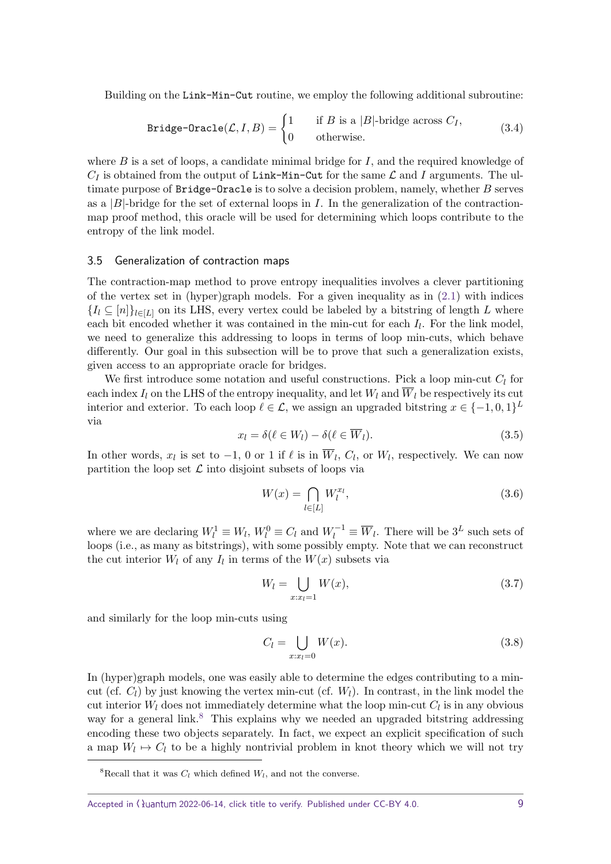Building on the Link-Min-Cut routine, we employ the following additional subroutine:

$$
\text{Bridge-Oracle}(\mathcal{L}, I, B) = \begin{cases} 1 & \text{if } B \text{ is a } |B| \text{-bridge across } C_I, \\ 0 & \text{otherwise.} \end{cases} \tag{3.4}
$$

where *B* is a set of loops, a candidate minimal bridge for *I*, and the required knowledge of  $C_I$  is obtained from the output of Link-Min-Cut for the same  $\mathcal L$  and *I* arguments. The ultimate purpose of Bridge-Oracle is to solve a decision problem, namely, whether *B* serves as a  $|B|$ -bridge for the set of external loops in *I*. In the generalization of the contractionmap proof method, this oracle will be used for determining which loops contribute to the entropy of the link model.

#### 3.5 Generalization of contraction maps

The contraction-map method to prove entropy inequalities involves a clever partitioning of the vertex set in (hyper)graph models. For a given inequality as in  $(2.1)$  with indices  ${I_l \subseteq [n]}_{l \in [L]}$  on its LHS, every vertex could be labeled by a bitstring of length *L* where each bit encoded whether it was contained in the min-cut for each  $I_l$ . For the link model, we need to generalize this addressing to loops in terms of loop min-cuts, which behave differently. Our goal in this subsection will be to prove that such a generalization exists, given access to an appropriate oracle for bridges.

We first introduce some notation and useful constructions. Pick a loop min-cut *C<sup>l</sup>* for each index  $I_l$  on the LHS of the entropy inequality, and let  $W_l$  and  $\overline{W}_l$  be respectively its cut interior and exterior. To each loop  $\ell \in \mathcal{L}$ , we assign an upgraded bitstring  $x \in \{-1, 0, 1\}^L$ via

$$
x_l = \delta(\ell \in W_l) - \delta(\ell \in \overline{W}_l). \tag{3.5}
$$

In other words,  $x_l$  is set to  $-1$ , 0 or 1 if  $\ell$  is in  $\overline{W}_l$ ,  $C_l$ , or  $W_l$ , respectively. We can now partition the loop set  $\mathcal L$  into disjoint subsets of loops via

<span id="page-8-1"></span>
$$
W(x) = \bigcap_{l \in [L]} W_l^{x_l},\tag{3.6}
$$

where we are declaring  $W_l^1 \equiv W_l$ ,  $W_l^0 \equiv C_l$  and  $W_l^{-1} \equiv \overline{W}_l$ . There will be  $3^L$  such sets of loops (i.e., as many as bitstrings), with some possibly empty. Note that we can reconstruct the cut interior  $W_l$  of any  $I_l$  in terms of the  $W(x)$  subsets via

<span id="page-8-3"></span>
$$
W_l = \bigcup_{x:x_l=1} W(x),
$$
\n(3.7)

and similarly for the loop min-cuts using

<span id="page-8-2"></span>
$$
C_l = \bigcup_{x:x_l=0} W(x). \tag{3.8}
$$

In (hyper)graph models, one was easily able to determine the edges contributing to a mincut (cf.  $C_l$ ) by just knowing the vertex min-cut (cf.  $W_l$ ). In contrast, in the link model the cut interior  $W_l$  does not immediately determine what the loop min-cut  $C_l$  is in any obvious way for a general link.<sup>[8](#page-8-0)</sup> This explains why we needed an upgraded bitstring addressing encoding these two objects separately. In fact, we expect an explicit specification of such a map  $W_l \mapsto C_l$  to be a highly nontrivial problem in knot theory which we will not try

<span id="page-8-0"></span><sup>&</sup>lt;sup>8</sup>Recall that it was  $C_l$  which defined  $W_l$ , and not the converse.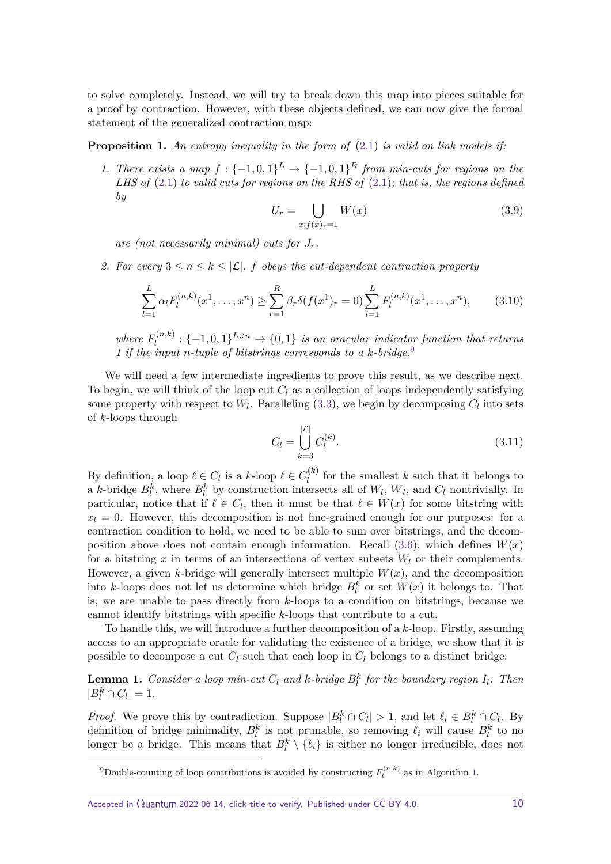to solve completely. Instead, we will try to break down this map into pieces suitable for a proof by contraction. However, with these objects defined, we can now give the formal statement of the generalized contraction map:

<span id="page-9-2"></span>**Proposition 1.** *An entropy inequality in the form of* [\(2.1\)](#page-1-1) *is valid on link models if:*

*1. There exists a map*  $f: \{-1,0,1\}^L \rightarrow \{-1,0,1\}^R$  *from min-cuts for regions on the LHS of* [\(2.1\)](#page-1-1) *to valid cuts for regions on the RHS of* [\(2.1\)](#page-1-1)*; that is, the regions defined by*

<span id="page-9-3"></span>
$$
U_r = \bigcup_{x:f(x)_r=1} W(x) \tag{3.9}
$$

*are (not necessarily minimal) cuts for Jr.*

*2.* For every  $3 \leq n \leq k \leq |\mathcal{L}|$ , *f* obeys the cut-dependent contraction property

$$
\sum_{l=1}^{L} \alpha_l F_l^{(n,k)}(x^1, \dots, x^n) \ge \sum_{r=1}^{R} \beta_r \delta(f(x^1)_r = 0) \sum_{l=1}^{L} F_l^{(n,k)}(x^1, \dots, x^n), \tag{3.10}
$$

*where*  $F_l^{(n,k)}$  $\mathcal{H}_l^{(n,k)}: \{-1,0,1\}^{L\times n} \to \{0,1\}$  *is an oracular indicator function that returns 1 if the input n-tuple of bitstrings corresponds to a k-bridge.*[9](#page-9-0)

We will need a few intermediate ingredients to prove this result, as we describe next. To begin, we will think of the loop cut  $C_l$  as a collection of loops independently satisfying some property with respect to  $W_l$ . Paralleling  $(3.3)$ , we begin by decomposing  $C_l$  into sets of *k*-loops through

$$
C_l = \bigcup_{k=3}^{|\mathcal{L}|} C_l^{(k)}.
$$
\n(3.11)

By definition, a loop  $\ell \in C_l$  is a *k*-loop  $\ell \in C_l^{(k)}$  $\frac{d^{(k)}}{l}$  for the smallest *k* such that it belongs to a *k*-bridge  $B_l^k$ , where  $B_l^k$  by construction intersects all of  $W_l$ ,  $\overline{W}_l$ , and  $C_l$  nontrivially. In particular, notice that if  $\ell \in C_l$ , then it must be that  $\ell \in W(x)$  for some bitstring with  $x_l = 0$ . However, this decomposition is not fine-grained enough for our purposes: for a contraction condition to hold, we need to be able to sum over bitstrings, and the decomposition above does not contain enough information. Recall  $(3.6)$ , which defines  $W(x)$ for a bitstring  $x$  in terms of an intersections of vertex subsets  $W_l$  or their complements. However, a given *k*-bridge will generally intersect multiple *W*(*x*), and the decomposition into *k*-loops does not let us determine which bridge  $B_l^k$  or set  $W(x)$  it belongs to. That is, we are unable to pass directly from *k*-loops to a condition on bitstrings, because we cannot identify bitstrings with specific *k*-loops that contribute to a cut.

To handle this, we will introduce a further decomposition of a *k*-loop. Firstly, assuming access to an appropriate oracle for validating the existence of a bridge, we show that it is possible to decompose a cut  $C_l$  such that each loop in  $C_l$  belongs to a distinct bridge:

<span id="page-9-1"></span>**Lemma 1.** *Consider a loop min-cut*  $C_l$  *and*  $k$ *-bridge*  $B_l^k$  *for the boundary region*  $I_l$ *. Then*  $|B_l^k \cap C_l| = 1.$ 

*Proof.* We prove this by contradiction. Suppose  $|B_i^k \cap C_l| > 1$ , and let  $\ell_i \in B_l^k \cap C_l$ . By definition of bridge minimality,  $B_l^k$  is not prunable, so removing  $\ell_i$  will cause  $B_l^k$  to no longer be a bridge. This means that  $B_l^k \setminus {\ell_i}$  is either no longer irreducible, does not

Accepted in  $\lambda$ uantum 2022-06-14, click title to verify. Published under CC-BY 4.0. 10

<span id="page-9-0"></span><sup>&</sup>lt;sup>9</sup>Double-counting of loop contributions is avoided by constructing  $F_l^{(n,k)}$  as in Algorithm [1.](#page-11-0)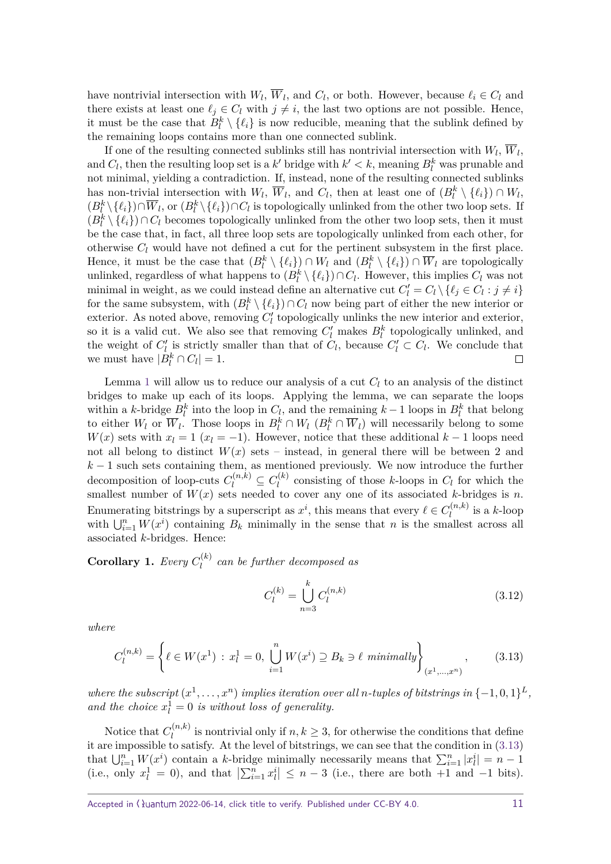have nontrivial intersection with  $W_l$ ,  $W_l$ , and  $C_l$ , or both. However, because  $\ell_i \in C_l$  and there exists at least one  $\ell_j \in C_l$  with  $j \neq i$ , the last two options are not possible. Hence, it must be the case that  $B_l^k \setminus {\ell_i}$  is now reducible, meaning that the sublink defined by the remaining loops contains more than one connected sublink.

If one of the resulting connected sublinks still has nontrivial intersection with  $W_l$ ,  $W_l$ , and  $C_l$ , then the resulting loop set is a *k*' bridge with  $k' < k$ , meaning  $B_l^k$  was prunable and not minimal, yielding a contradiction. If, instead, none of the resulting connected sublinks has non-trivial intersection with  $W_l$ ,  $\overline{W}_l$ , and  $C_l$ , then at least one of  $(B_l^k \setminus \{\ell_i\}) \cap W_l$ ,  $(B_l^k \setminus \{\ell_i\}) \cap \overline{W}_l$ , or  $(B_l^k \setminus \{\ell_i\}) \cap C_l$  is topologically unlinked from the other two loop sets. If  $(B^k_l \setminus \{\ell_i\}) \cap C_l$  becomes topologically unlinked from the other two loop sets, then it must be the case that, in fact, all three loop sets are topologically unlinked from each other, for otherwise  $C_l$  would have not defined a cut for the pertinent subsystem in the first place. Hence, it must be the case that  $(B_l^k \setminus \{\ell_i\}) \cap W_l$  and  $(B_l^k \setminus \{\ell_i\}) \cap \overline{W}_l$  are topologically unlinked, regardless of what happens to  $(B_l^k \setminus \{\ell_i\}) \cap C_l$ . However, this implies  $C_l$  was not minimal in weight, as we could instead define an alternative cut  $C'_{l} = C_{l} \setminus \{ \ell_{j} \in C_{l} : j \neq i \}$ for the same subsystem, with  $(B_l^k \setminus {\ell_i}) \cap C_l$  now being part of either the new interior or exterior. As noted above, removing  $C'_{l}$  topologically unlinks the new interior and exterior, so it is a valid cut. We also see that removing  $C'_{l}$  makes  $B_{l}^{k}$  topologically unlinked, and the weight of  $C'_{l}$  is strictly smaller than that of  $C_{l}$ , because  $C'_{l} \subset C_{l}$ . We conclude that we must have  $|B_l^k \cap C_l| = 1$ .

Lemma [1](#page-9-1) will allow us to reduce our analysis of a cut *C<sup>l</sup>* to an analysis of the distinct bridges to make up each of its loops. Applying the lemma, we can separate the loops within a *k*-bridge  $B_l^k$  into the loop in  $C_l$ , and the remaining  $k-1$  loops in  $B_l^k$  that belong to either  $W_l$  or  $\overline{W}_l$ . Those loops in  $B_l^k \cap W_l$  ( $B_l^k \cap \overline{W}_l$ ) will necessarily belong to some *W*(*x*) sets with  $x_l = 1$  ( $x_l = -1$ ). However, notice that these additional  $k-1$  loops need not all belong to distinct  $W(x)$  sets – instead, in general there will be between 2 and  $k-1$  such sets containing them, as mentioned previously. We now introduce the further decomposition of loop-cuts  $C_l^{(n,k)} \subseteq C_l^{(k)}$  $l_l^{(k)}$  consisting of those *k*-loops in  $C_l$  for which the smallest number of  $W(x)$  sets needed to cover any one of its associated *k*-bridges is *n*. Enumerating bitstrings by a superscript as  $x^i$ , this means that every  $\ell \in C_l^{(n,k)}$  $\int_l^{(n,\kappa)}$  is a *k*-loop with  $\bigcup_{i=1}^{n} W(x^i)$  containing  $B_k$  minimally in the sense that *n* is the smallest across all associated *k*-bridges. Hence:

<span id="page-10-1"></span>**Corollary 1.** *Every*  $C_l^{(k)}$  $l_l^{(k)}$  can be further decomposed as

$$
C_l^{(k)} = \bigcup_{n=3}^k C_l^{(n,k)} \tag{3.12}
$$

*where*

<span id="page-10-0"></span>
$$
C_l^{(n,k)} = \left\{ \ell \in W(x^1) : x_l^1 = 0, \bigcup_{i=1}^n W(x^i) \supseteq B_k \ni \ell \text{ minimally} \right\}_{(x^1, \dots, x^n)},
$$
(3.13)

*where the subscript*  $(x^1, \ldots, x^n)$  *implies iteration over all n-tuples of bitstrings in*  $\{-1, 0, 1\}^L$ , and the choice  $x_l^1 = 0$  is without loss of generality.

Notice that  $C_l^{(n,k)}$  $l_l^{(n,\kappa)}$  is nontrivial only if  $n, k \geq 3$ , for otherwise the conditions that define it are impossible to satisfy. At the level of bitstrings, we can see that the condition in [\(3.13\)](#page-10-0) that  $\bigcup_{i=1}^{n} W(x^i)$  contain a *k*-bridge minimally necessarily means that  $\sum_{i=1}^{n} |x_i^i| = n - 1$ (i.e., only  $x_l^1 = 0$ ), and that  $\left| \sum_{i=1}^n x_l^i \right| \leq n-3$  (i.e., there are both +1 and -1 bits).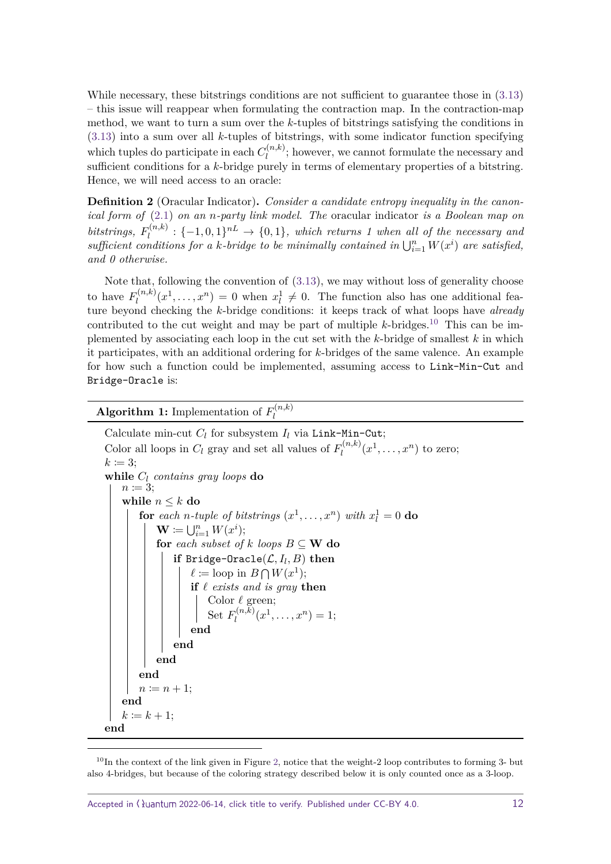While necessary, these bitstrings conditions are not sufficient to guarantee those in [\(3.13\)](#page-10-0) – this issue will reappear when formulating the contraction map. In the contraction-map method, we want to turn a sum over the *k*-tuples of bitstrings satisfying the conditions in [\(3.13\)](#page-10-0) into a sum over all *k*-tuples of bitstrings, with some indicator function specifying which tuples do participate in each  $C_l^{(n,k)}$  $l_l^{(n,\kappa)}$ ; however, we cannot formulate the necessary and sufficient conditions for a *k*-bridge purely in terms of elementary properties of a bitstring. Hence, we will need access to an oracle:

**Definition 2** (Oracular Indicator)**.** *Consider a candidate entropy inequality in the canonical form of* [\(2.1\)](#page-1-1) *on an n-party link model. The* oracular indicator *is a Boolean map on bitstrings,*  $F_l^{(n,k)}$  $\mathcal{L}_l^{(n,k)}: \{-1,0,1\}^{nL} \rightarrow \{0,1\}$ , which returns 1 when all of the necessary and  $sufficient conditions for a k-bridge to be minimally contained in  $\bigcup_{i=1}^{n} W(x^i)$  are satisfied,$ *and 0 otherwise.*

Note that, following the convention of [\(3.13\)](#page-10-0), we may without loss of generality choose to have  $F_l^{(n,k)}$  $a_l^{(n,k)}(x^1,\ldots,x^n) = 0$  when  $x_l^1 \neq 0$ . The function also has one additional feature beyond checking the *k*-bridge conditions: it keeps track of what loops have already contributed to the cut weight and may be part of multiple  $k$ -bridges.<sup>[10](#page-11-1)</sup> This can be implemented by associating each loop in the cut set with the *k*-bridge of smallest *k* in which it participates, with an additional ordering for *k*-bridges of the same valence. An example for how such a function could be implemented, assuming access to Link-Min-Cut and Bridge-Oracle is:

<span id="page-11-0"></span>**Algorithm 1:** Implementation of  $F_l^{(n,k)}$ *l*

Calculate min-cut  $C_l$  for subsystem  $I_l$  via Link-Min-Cut; Color all loops in  $C_l$  gray and set all values of  $F_l^{(n,k)}$  $\chi_l^{(n,k)}(x^1,\ldots,x^n)$  to zero;  $k \coloneqq 3$ ; **while** *C<sup>l</sup> contains gray loops* **do**  $n \coloneqq 3$ ; **while**  $n \leq k$  **do for** each *n*-tuple of bitstrings  $(x^1, \ldots, x^n)$  with  $x_l^1 = 0$  **do**  $\mathbf{W} \coloneqq \bigcup_{i=1}^n W(x^i);$ **for** *each subset of*  $k$  *loops*  $B \subseteq W$  **do**  $\mathbf{if} \; \mathsf{Bridge\text{-}Oracle}(\mathcal{L}, I_l, B) \; \mathbf{then}$  $\ell \coloneqq \text{loop in } B \bigcap W(x^1);$ **if**  $\ell$  *exists and is gray* **then** Color  $\ell$  green; Set  $F_l^{(n,k)}$  $a_l^{(n,k)}(x^1,\ldots,x^n)=1;$ **end end end end**  $n \coloneqq n + 1;$ **end**  $k := k + 1$ : **end**

<span id="page-11-1"></span> $10$ In the context of the link given in Figure [2,](#page-5-1) notice that the weight-2 loop contributes to forming 3- but also 4-bridges, but because of the coloring strategy described below it is only counted once as a 3-loop.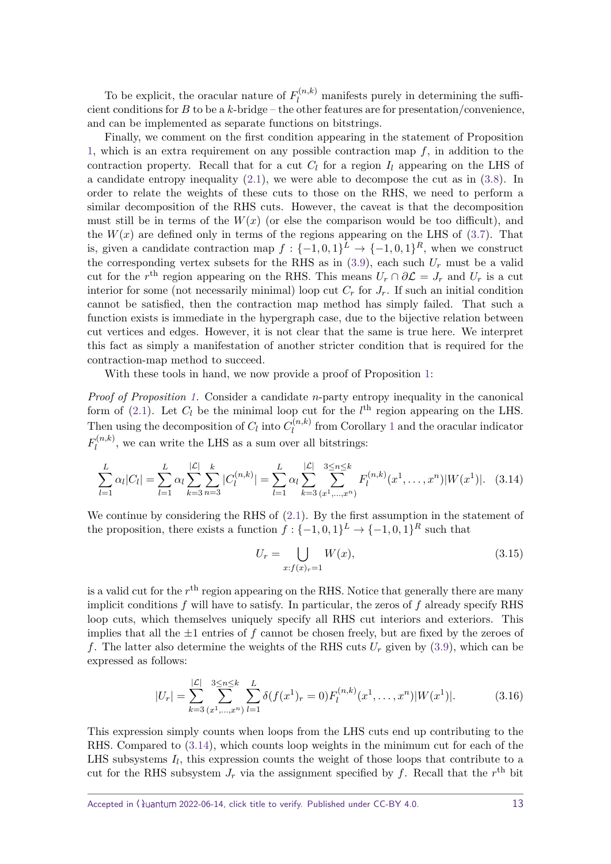To be explicit, the oracular nature of  $F_l^{(n,k)}$  manifests purely in determining the sufficient conditions for *B* to be a *k*-bridge – the other features are for presentation/convenience, and can be implemented as separate functions on bitstrings.

Finally, we comment on the first condition appearing in the statement of Proposition [1,](#page-9-2) which is an extra requirement on any possible contraction map *f*, in addition to the contraction property. Recall that for a cut  $C_l$  for a region  $I_l$  appearing on the LHS of a candidate entropy inequality  $(2.1)$ , we were able to decompose the cut as in  $(3.8)$ . In order to relate the weights of these cuts to those on the RHS, we need to perform a similar decomposition of the RHS cuts. However, the caveat is that the decomposition must still be in terms of the  $W(x)$  (or else the comparison would be too difficult), and the  $W(x)$  are defined only in terms of the regions appearing on the LHS of  $(3.7)$ . That is, given a candidate contraction map  $f: \{-1,0,1\}^L \to \{-1,0,1\}^R$ , when we construct the corresponding vertex subsets for the RHS as in  $(3.9)$ , each such  $U_r$  must be a valid cut for the  $r<sup>th</sup>$  region appearing on the RHS. This means  $U_r \cap \partial \mathcal{L} = J_r$  and  $U_r$  is a cut interior for some (not necessarily minimal) loop cut  $C_r$  for  $J_r$ . If such an initial condition cannot be satisfied, then the contraction map method has simply failed. That such a function exists is immediate in the hypergraph case, due to the bijective relation between cut vertices and edges. However, it is not clear that the same is true here. We interpret this fact as simply a manifestation of another stricter condition that is required for the contraction-map method to succeed.

With these tools in hand, we now provide a proof of Proposition [1:](#page-9-2)

*Proof of Proposition [1.](#page-9-2)* Consider a candidate *n*-party entropy inequality in the canonical form of [\(2.1\)](#page-1-1). Let  $C_l$  be the minimal loop cut for the  $l^{\text{th}}$  region appearing on the LHS. Then using the decomposition of  $C_l$  into  $C_l^{(n,k)}$  $l_l^{(n,\kappa)}$  from Corollary [1](#page-10-1) and the oracular indicator  $F_l^{(n,k)}$  $l_l^{(n,\kappa)}$ , we can write the LHS as a sum over all bitstrings:

<span id="page-12-0"></span>
$$
\sum_{l=1}^{L} \alpha_l |C_l| = \sum_{l=1}^{L} \alpha_l \sum_{k=3}^{|\mathcal{L}|} \sum_{n=3}^{k} |C_l^{(n,k)}| = \sum_{l=1}^{L} \alpha_l \sum_{k=3}^{|\mathcal{L}|} \sum_{(x^1, \dots, x^n)}^{3 \le n \le k} F_l^{(n,k)}(x^1, \dots, x^n) |W(x^1)|. \tag{3.14}
$$

We continue by considering the RHS of  $(2.1)$ . By the first assumption in the statement of the proposition, there exists a function  $f: \{-1,0,1\}^L \to \{-1,0,1\}^R$  such that

$$
U_r = \bigcup_{x:f(x)_r=1} W(x),
$$
\n(3.15)

is a valid cut for the  $r<sup>th</sup>$  region appearing on the RHS. Notice that generally there are many implicit conditions *f* will have to satisfy. In particular, the zeros of *f* already specify RHS loop cuts, which themselves uniquely specify all RHS cut interiors and exteriors. This implies that all the  $\pm 1$  entries of  $f$  cannot be chosen freely, but are fixed by the zeroes of f. The latter also determine the weights of the RHS cuts  $U_r$  given by [\(3.9\)](#page-9-3), which can be expressed as follows:

$$
|U_r| = \sum_{k=3}^{|{\mathcal{L}}|} \sum_{(x^1,\ldots,x^n)}^{3 \le n \le k} \sum_{l=1}^L \delta(f(x^1)_r = 0) F_l^{(n,k)}(x^1,\ldots,x^n) |W(x^1)|.
$$
 (3.16)

This expression simply counts when loops from the LHS cuts end up contributing to the RHS. Compared to [\(3.14\)](#page-12-0), which counts loop weights in the minimum cut for each of the LHS subsystems  $I_l$ , this expression counts the weight of those loops that contribute to a cut for the RHS subsystem  $J_r$  via the assignment specified by  $f$ . Recall that the  $r<sup>th</sup>$  bit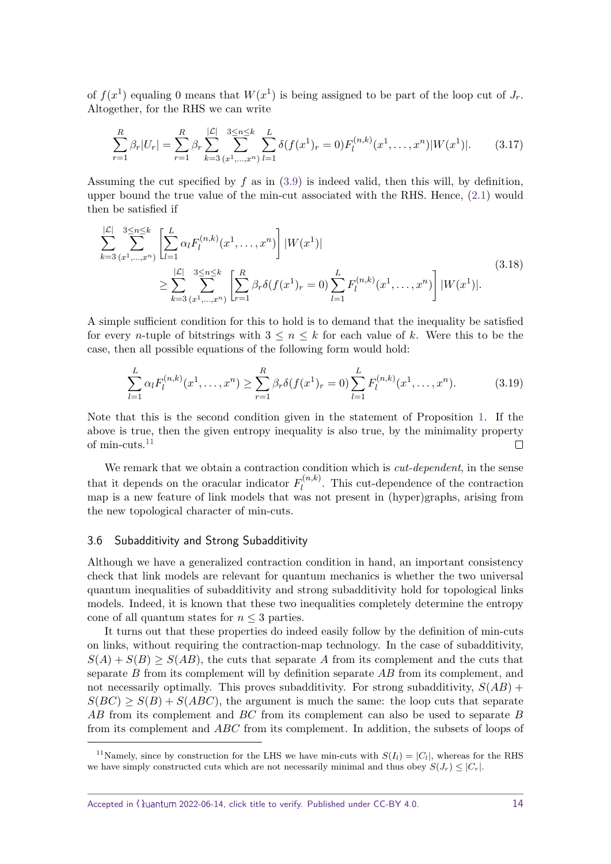of  $f(x^1)$  equaling 0 means that  $W(x^1)$  is being assigned to be part of the loop cut of  $J_r$ . Altogether, for the RHS we can write

$$
\sum_{r=1}^{R} \beta_r |U_r| = \sum_{r=1}^{R} \beta_r \sum_{k=3}^{|\mathcal{L}|} \sum_{(x^1, \dots, x^n)}^{3 \le n \le k} \sum_{l=1}^{L} \delta(f(x^1)_r = 0) F_l^{(n,k)}(x^1, \dots, x^n) |W(x^1)|.
$$
 (3.17)

Assuming the cut specified by *f* as in [\(3.9\)](#page-9-3) is indeed valid, then this will, by definition, upper bound the true value of the min-cut associated with the RHS. Hence, [\(2.1\)](#page-1-1) would then be satisfied if

$$
\sum_{k=3}^{|\mathcal{L}|} \sum_{(x^1, \dots, x^n)}^{3 \le n \le k} \left[ \sum_{l=1}^L \alpha_l F_l^{(n,k)}(x^1, \dots, x^n) \right] |W(x^1)|
$$
\n
$$
\ge \sum_{k=3}^{|\mathcal{L}|} \sum_{(x^1, \dots, x^n)}^{3 \le n \le k} \left[ \sum_{r=1}^R \beta_r \delta(f(x^1)_r = 0) \sum_{l=1}^L F_l^{(n,k)}(x^1, \dots, x^n) \right] |W(x^1)|.
$$
\n(3.18)

A simple sufficient condition for this to hold is to demand that the inequality be satisfied for every *n*-tuple of bitstrings with  $3 \leq n \leq k$  for each value of k. Were this to be the case, then all possible equations of the following form would hold:

$$
\sum_{l=1}^{L} \alpha_l F_l^{(n,k)}(x^1, \dots, x^n) \ge \sum_{r=1}^{R} \beta_r \delta(f(x^1)_r = 0) \sum_{l=1}^{L} F_l^{(n,k)}(x^1, \dots, x^n). \tag{3.19}
$$

Note that this is the second condition given in the statement of Proposition [1.](#page-9-2) If the above is true, then the given entropy inequality is also true, by the minimality property of min-cuts.[11](#page-13-0)  $\Box$ 

We remark that we obtain a contraction condition which is *cut-dependent*, in the sense that it depends on the oracular indicator  $F_l^{(n,k)}$  $\ell_l^{(n,\kappa)}$ . This cut-dependence of the contraction map is a new feature of link models that was not present in (hyper)graphs, arising from the new topological character of min-cuts.

#### 3.6 Subadditivity and Strong Subadditivity

Although we have a generalized contraction condition in hand, an important consistency check that link models are relevant for quantum mechanics is whether the two universal quantum inequalities of subadditivity and strong subadditivity hold for topological links models. Indeed, it is known that these two inequalities completely determine the entropy cone of all quantum states for  $n \leq 3$  parties.

It turns out that these properties do indeed easily follow by the definition of min-cuts on links, without requiring the contraction-map technology. In the case of subadditivity,  $S(A) + S(B) \geq S(AB)$ , the cuts that separate *A* from its complement and the cuts that separate *B* from its complement will by definition separate *AB* from its complement, and not necessarily optimally. This proves subadditivity. For strong subadditivity, *S*(*AB*) +  $S(BC) \geq S(B) + S(ABC)$ , the argument is much the same: the loop cuts that separate *AB* from its complement and *BC* from its complement can also be used to separate *B* from its complement and *ABC* from its complement. In addition, the subsets of loops of

<span id="page-13-0"></span><sup>&</sup>lt;sup>11</sup>Namely, since by construction for the LHS we have min-cuts with  $S(I_i) = |C_i|$ , whereas for the RHS we have simply constructed cuts which are not necessarily minimal and thus obey  $S(J_r) \leq |C_r|$ .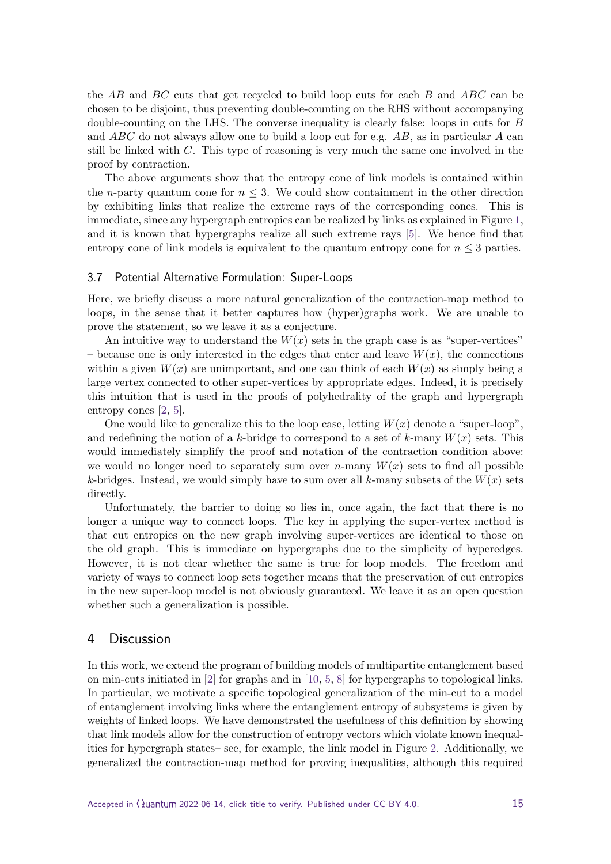the *AB* and *BC* cuts that get recycled to build loop cuts for each *B* and *ABC* can be chosen to be disjoint, thus preventing double-counting on the RHS without accompanying double-counting on the LHS. The converse inequality is clearly false: loops in cuts for *B* and *ABC* do not always allow one to build a loop cut for e.g. *AB*, as in particular *A* can still be linked with *C*. This type of reasoning is very much the same one involved in the proof by contraction.

The above arguments show that the entropy cone of link models is contained within the *n*-party quantum cone for  $n \leq 3$ . We could show containment in the other direction by exhibiting links that realize the extreme rays of the corresponding cones. This is immediate, since any hypergraph entropies can be realized by links as explained in Figure [1,](#page-5-0) and it is known that hypergraphs realize all such extreme rays [\[5\]](#page-17-4). We hence find that entropy cone of link models is equivalent to the quantum entropy cone for  $n \leq 3$  parties.

#### 3.7 Potential Alternative Formulation: Super-Loops

Here, we briefly discuss a more natural generalization of the contraction-map method to loops, in the sense that it better captures how (hyper)graphs work. We are unable to prove the statement, so we leave it as a conjecture.

An intuitive way to understand the  $W(x)$  sets in the graph case is as "super-vertices" – because one is only interested in the edges that enter and leave  $W(x)$ , the connections within a given  $W(x)$  are unimportant, and one can think of each  $W(x)$  as simply being a large vertex connected to other super-vertices by appropriate edges. Indeed, it is precisely this intuition that is used in the proofs of polyhedrality of the graph and hypergraph entropy cones [\[2,](#page-17-1) [5\]](#page-17-4).

One would like to generalize this to the loop case, letting  $W(x)$  denote a "super-loop", and redefining the notion of a *k*-bridge to correspond to a set of *k*-many  $W(x)$  sets. This would immediately simplify the proof and notation of the contraction condition above: we would no longer need to separately sum over *n*-many  $W(x)$  sets to find all possible *k*-bridges. Instead, we would simply have to sum over all *k*-many subsets of the  $W(x)$  sets directly.

Unfortunately, the barrier to doing so lies in, once again, the fact that there is no longer a unique way to connect loops. The key in applying the super-vertex method is that cut entropies on the new graph involving super-vertices are identical to those on the old graph. This is immediate on hypergraphs due to the simplicity of hyperedges. However, it is not clear whether the same is true for loop models. The freedom and variety of ways to connect loop sets together means that the preservation of cut entropies in the new super-loop model is not obviously guaranteed. We leave it as an open question whether such a generalization is possible.

## <span id="page-14-0"></span>4 Discussion

In this work, we extend the program of building models of multipartite entanglement based on min-cuts initiated in [\[2\]](#page-17-1) for graphs and in [\[10,](#page-17-7) [5,](#page-17-4) [8\]](#page-17-5) for hypergraphs to topological links. In particular, we motivate a specific topological generalization of the min-cut to a model of entanglement involving links where the entanglement entropy of subsystems is given by weights of linked loops. We have demonstrated the usefulness of this definition by showing that link models allow for the construction of entropy vectors which violate known inequalities for hypergraph states– see, for example, the link model in Figure [2.](#page-5-1) Additionally, we generalized the contraction-map method for proving inequalities, although this required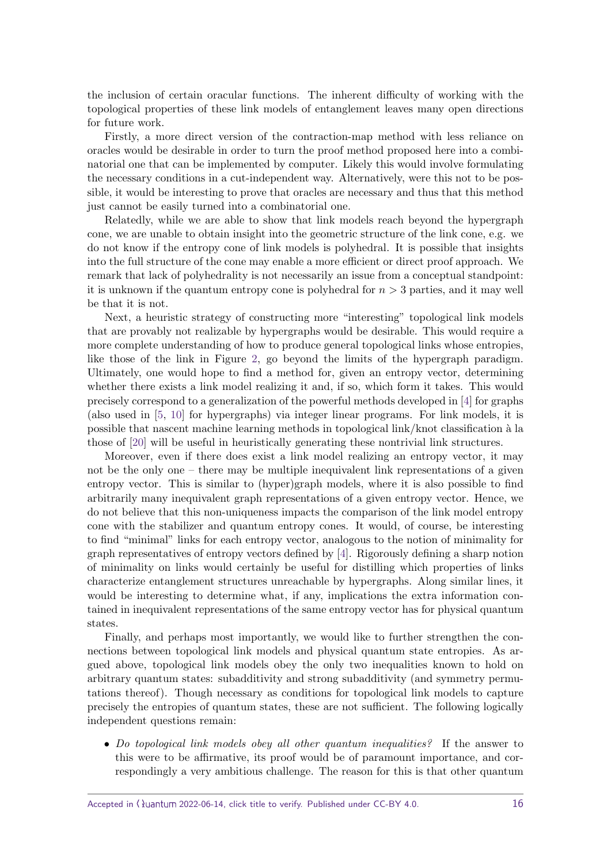the inclusion of certain oracular functions. The inherent difficulty of working with the topological properties of these link models of entanglement leaves many open directions for future work.

Firstly, a more direct version of the contraction-map method with less reliance on oracles would be desirable in order to turn the proof method proposed here into a combinatorial one that can be implemented by computer. Likely this would involve formulating the necessary conditions in a cut-independent way. Alternatively, were this not to be possible, it would be interesting to prove that oracles are necessary and thus that this method just cannot be easily turned into a combinatorial one.

Relatedly, while we are able to show that link models reach beyond the hypergraph cone, we are unable to obtain insight into the geometric structure of the link cone, e.g. we do not know if the entropy cone of link models is polyhedral. It is possible that insights into the full structure of the cone may enable a more efficient or direct proof approach. We remark that lack of polyhedrality is not necessarily an issue from a conceptual standpoint: it is unknown if the quantum entropy cone is polyhedral for *n >* 3 parties, and it may well be that it is not.

Next, a heuristic strategy of constructing more "interesting" topological link models that are provably not realizable by hypergraphs would be desirable. This would require a more complete understanding of how to produce general topological links whose entropies, like those of the link in Figure [2,](#page-5-1) go beyond the limits of the hypergraph paradigm. Ultimately, one would hope to find a method for, given an entropy vector, determining whether there exists a link model realizing it and, if so, which form it takes. This would precisely correspond to a generalization of the powerful methods developed in [\[4\]](#page-17-3) for graphs (also used in [\[5,](#page-17-4) [10\]](#page-17-7) for hypergraphs) via integer linear programs. For link models, it is possible that nascent machine learning methods in topological link/knot classification `a la those of [\[20\]](#page-18-5) will be useful in heuristically generating these nontrivial link structures.

Moreover, even if there does exist a link model realizing an entropy vector, it may not be the only one – there may be multiple inequivalent link representations of a given entropy vector. This is similar to (hyper)graph models, where it is also possible to find arbitrarily many inequivalent graph representations of a given entropy vector. Hence, we do not believe that this non-uniqueness impacts the comparison of the link model entropy cone with the stabilizer and quantum entropy cones. It would, of course, be interesting to find "minimal" links for each entropy vector, analogous to the notion of minimality for graph representatives of entropy vectors defined by [\[4\]](#page-17-3). Rigorously defining a sharp notion of minimality on links would certainly be useful for distilling which properties of links characterize entanglement structures unreachable by hypergraphs. Along similar lines, it would be interesting to determine what, if any, implications the extra information contained in inequivalent representations of the same entropy vector has for physical quantum states.

Finally, and perhaps most importantly, we would like to further strengthen the connections between topological link models and physical quantum state entropies. As argued above, topological link models obey the only two inequalities known to hold on arbitrary quantum states: subadditivity and strong subadditivity (and symmetry permutations thereof). Though necessary as conditions for topological link models to capture precisely the entropies of quantum states, these are not sufficient. The following logically independent questions remain:

• Do topological link models obey all other quantum inequalities? If the answer to this were to be affirmative, its proof would be of paramount importance, and correspondingly a very ambitious challenge. The reason for this is that other quantum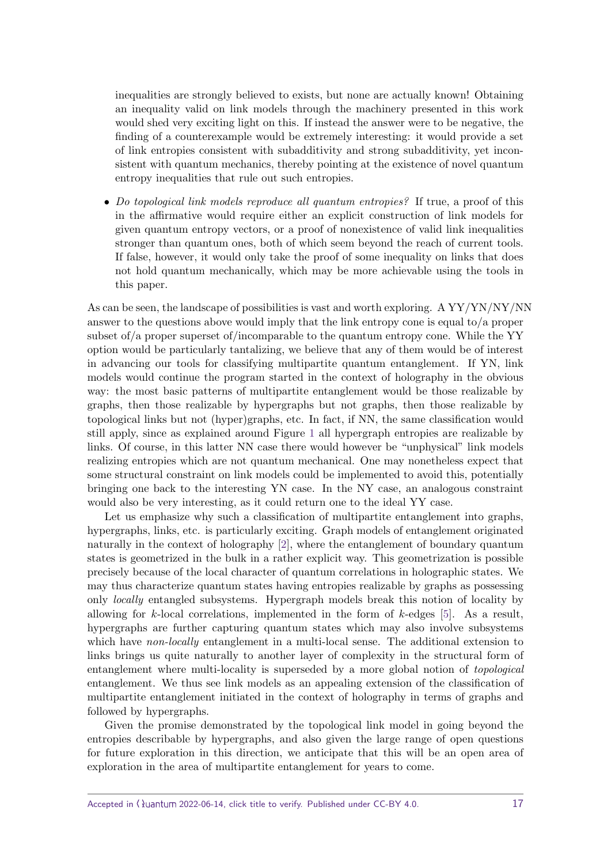inequalities are strongly believed to exists, but none are actually known! Obtaining an inequality valid on link models through the machinery presented in this work would shed very exciting light on this. If instead the answer were to be negative, the finding of a counterexample would be extremely interesting: it would provide a set of link entropies consistent with subadditivity and strong subadditivity, yet inconsistent with quantum mechanics, thereby pointing at the existence of novel quantum entropy inequalities that rule out such entropies.

• Do topological link models reproduce all quantum entropies? If true, a proof of this in the affirmative would require either an explicit construction of link models for given quantum entropy vectors, or a proof of nonexistence of valid link inequalities stronger than quantum ones, both of which seem beyond the reach of current tools. If false, however, it would only take the proof of some inequality on links that does not hold quantum mechanically, which may be more achievable using the tools in this paper.

As can be seen, the landscape of possibilities is vast and worth exploring. A YY/YN/NY/NN answer to the questions above would imply that the link entropy cone is equal to/a proper subset of/a proper superset of/incomparable to the quantum entropy cone. While the YY option would be particularly tantalizing, we believe that any of them would be of interest in advancing our tools for classifying multipartite quantum entanglement. If YN, link models would continue the program started in the context of holography in the obvious way: the most basic patterns of multipartite entanglement would be those realizable by graphs, then those realizable by hypergraphs but not graphs, then those realizable by topological links but not (hyper)graphs, etc. In fact, if NN, the same classification would still apply, since as explained around Figure [1](#page-5-0) all hypergraph entropies are realizable by links. Of course, in this latter NN case there would however be "unphysical" link models realizing entropies which are not quantum mechanical. One may nonetheless expect that some structural constraint on link models could be implemented to avoid this, potentially bringing one back to the interesting YN case. In the NY case, an analogous constraint would also be very interesting, as it could return one to the ideal YY case.

Let us emphasize why such a classification of multipartite entanglement into graphs, hypergraphs, links, etc. is particularly exciting. Graph models of entanglement originated naturally in the context of holography [\[2\]](#page-17-1), where the entanglement of boundary quantum states is geometrized in the bulk in a rather explicit way. This geometrization is possible precisely because of the local character of quantum correlations in holographic states. We may thus characterize quantum states having entropies realizable by graphs as possessing only locally entangled subsystems. Hypergraph models break this notion of locality by allowing for *k*-local correlations, implemented in the form of *k*-edges [\[5\]](#page-17-4). As a result, hypergraphs are further capturing quantum states which may also involve subsystems which have non-locally entanglement in a multi-local sense. The additional extension to links brings us quite naturally to another layer of complexity in the structural form of entanglement where multi-locality is superseded by a more global notion of topological entanglement. We thus see link models as an appealing extension of the classification of multipartite entanglement initiated in the context of holography in terms of graphs and followed by hypergraphs.

Given the promise demonstrated by the topological link model in going beyond the entropies describable by hypergraphs, and also given the large range of open questions for future exploration in this direction, we anticipate that this will be an open area of exploration in the area of multipartite entanglement for years to come.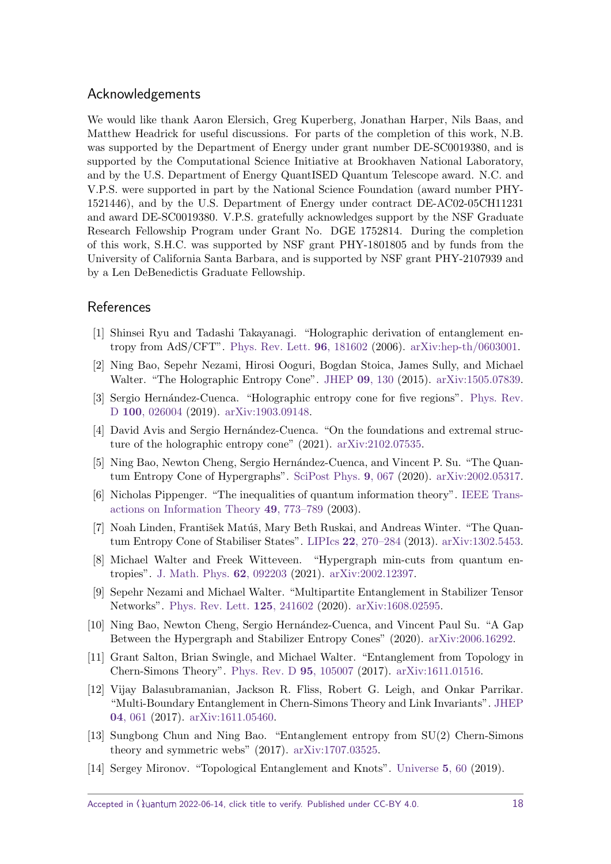# Acknowledgements

We would like thank Aaron Elersich, Greg Kuperberg, Jonathan Harper, Nils Baas, and Matthew Headrick for useful discussions. For parts of the completion of this work, N.B. was supported by the Department of Energy under grant number DE-SC0019380, and is supported by the Computational Science Initiative at Brookhaven National Laboratory, and by the U.S. Department of Energy QuantISED Quantum Telescope award. N.C. and V.P.S. were supported in part by the National Science Foundation (award number PHY-1521446), and by the U.S. Department of Energy under contract DE-AC02-05CH11231 and award DE-SC0019380. V.P.S. gratefully acknowledges support by the NSF Graduate Research Fellowship Program under Grant No. DGE 1752814. During the completion of this work, S.H.C. was supported by NSF grant PHY-1801805 and by funds from the University of California Santa Barbara, and is supported by NSF grant PHY-2107939 and by a Len DeBenedictis Graduate Fellowship.

# References

- <span id="page-17-0"></span>[1] Shinsei Ryu and Tadashi Takayanagi. "Holographic derivation of entanglement entropy from AdS/CFT". [Phys. Rev. Lett.](https://dx.doi.org/10.1103/PhysRevLett.96.181602) **96**, 181602 (2006). [arXiv:hep-th/0603001.](http://arxiv.org/abs/hep-th/0603001)
- <span id="page-17-1"></span>[2] Ning Bao, Sepehr Nezami, Hirosi Ooguri, Bogdan Stoica, James Sully, and Michael Walter. "The Holographic Entropy Cone". [JHEP](https://dx.doi.org/10.1007/JHEP09(2015)130) **09**, 130 (2015). [arXiv:1505.07839.](http://arxiv.org/abs/1505.07839)
- <span id="page-17-2"></span>[3] Sergio Hernández-Cuenca. "Holographic entropy cone for five regions". [Phys. Rev.](https://dx.doi.org/10.1103/PhysRevD.100.026004) D **100**[, 026004](https://dx.doi.org/10.1103/PhysRevD.100.026004) (2019). [arXiv:1903.09148.](http://arxiv.org/abs/1903.09148)
- <span id="page-17-3"></span>[4] David Avis and Sergio Hernández-Cuenca. "On the foundations and extremal structure of the holographic entropy cone" (2021). [arXiv:2102.07535.](http://arxiv.org/abs/2102.07535)
- <span id="page-17-4"></span>[5] Ning Bao, Newton Cheng, Sergio Hernández-Cuenca, and Vincent P. Su. "The Quantum Entropy Cone of Hypergraphs". [SciPost Phys.](https://dx.doi.org/10.21468/SciPostPhys.9.5.067) **9**, 067 (2020). [arXiv:2002.05317.](http://arxiv.org/abs/2002.05317)
- <span id="page-17-8"></span>[6] Nicholas Pippenger. "The inequalities of quantum information theory". [IEEE Trans](https://dx.doi.org/10.1109/TIT.2003.809569)[actions on Information Theory](https://dx.doi.org/10.1109/TIT.2003.809569) **49**, 773–789 (2003).
- <span id="page-17-9"></span>[7] Noah Linden, František Matúš, Mary Beth Ruskai, and Andreas Winter. "The Quantum Entropy Cone of Stabiliser States". LIPIcs **22**[, 270–284](https://dx.doi.org/10.4230/LIPIcs.TQC.2013.270) (2013). [arXiv:1302.5453.](http://arxiv.org/abs/1302.5453)
- <span id="page-17-5"></span>[8] Michael Walter and Freek Witteveen. "Hypergraph min-cuts from quantum entropies". [J. Math. Phys.](https://dx.doi.org/10.1063/5.0043993) **62**, 092203 (2021). [arXiv:2002.12397.](http://arxiv.org/abs/2002.12397)
- <span id="page-17-6"></span>[9] Sepehr Nezami and Michael Walter. "Multipartite Entanglement in Stabilizer Tensor Networks". [Phys. Rev. Lett.](https://dx.doi.org/10.1103/PhysRevLett.125.241602) **125**, 241602 (2020). [arXiv:1608.02595.](http://arxiv.org/abs/1608.02595)
- <span id="page-17-7"></span>[10] Ning Bao, Newton Cheng, Sergio Hern´andez-Cuenca, and Vincent Paul Su. "A Gap Between the Hypergraph and Stabilizer Entropy Cones" (2020). [arXiv:2006.16292.](http://arxiv.org/abs/2006.16292)
- <span id="page-17-10"></span>[11] Grant Salton, Brian Swingle, and Michael Walter. "Entanglement from Topology in Chern-Simons Theory". [Phys. Rev. D](https://dx.doi.org/10.1103/PhysRevD.95.105007) **95**, 105007 (2017). [arXiv:1611.01516.](http://arxiv.org/abs/1611.01516)
- <span id="page-17-11"></span>[12] Vijay Balasubramanian, Jackson R. Fliss, Robert G. Leigh, and Onkar Parrikar. "Multi-Boundary Entanglement in Chern-Simons Theory and Link Invariants". [JHEP](https://dx.doi.org/10.1007/JHEP04(2017)061) **04**[, 061](https://dx.doi.org/10.1007/JHEP04(2017)061) (2017). [arXiv:1611.05460.](http://arxiv.org/abs/1611.05460)
- <span id="page-17-12"></span>[13] Sungbong Chun and Ning Bao. "Entanglement entropy from SU(2) Chern-Simons theory and symmetric webs" (2017). [arXiv:1707.03525.](http://arxiv.org/abs/1707.03525)
- <span id="page-17-13"></span>[14] Sergey Mironov. "Topological Entanglement and Knots". [Universe](https://dx.doi.org/10.3390/universe5020060) **5**, 60 (2019).